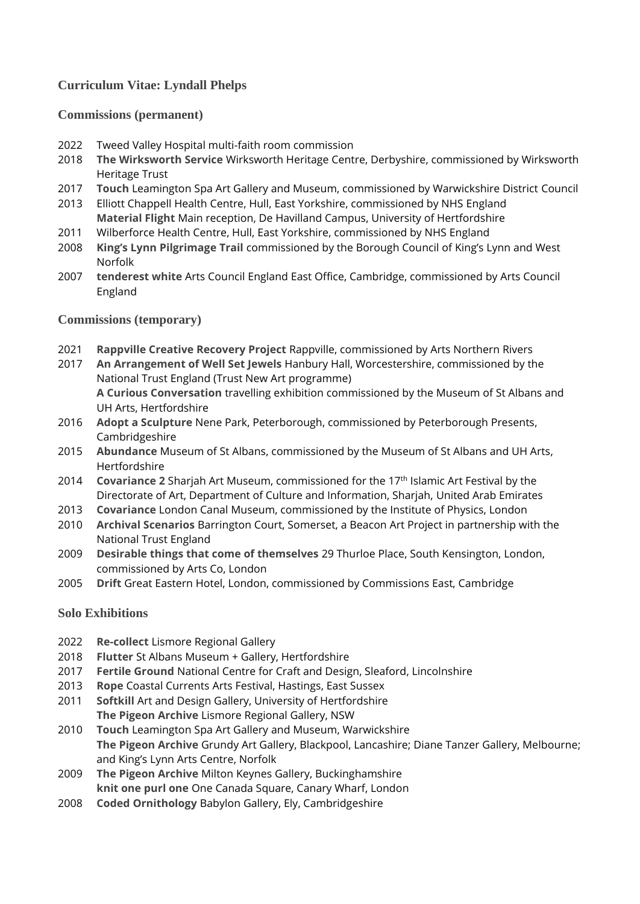# **Curriculum Vitae: Lyndall Phelps**

### **Commissions (permanent)**

- 2022 Tweed Valley Hospital multi-faith room commission
- 2018 **The Wirksworth Service** Wirksworth Heritage Centre, Derbyshire, commissioned by Wirksworth Heritage Trust
- 2017 **Touch** Leamington Spa Art Gallery and Museum, commissioned by Warwickshire District Council
- 2013 Elliott Chappell Health Centre, Hull, East Yorkshire, commissioned by NHS England **Material Flight** Main reception, De Havilland Campus, University of Hertfordshire
- 2011 Wilberforce Health Centre, Hull, East Yorkshire, commissioned by NHS England
- 2008 **King's Lynn Pilgrimage Trail** commissioned by the Borough Council of King's Lynn and West Norfolk
- 2007 **tenderest white** Arts Council England East Office, Cambridge, commissioned by Arts Council England

### **Commissions (temporary)**

- 2021 **Rappville Creative Recovery Project** Rappville, commissioned by Arts Northern Rivers
- 2017 **An Arrangement of Well Set Jewels** Hanbury Hall, Worcestershire, commissioned by the National Trust England (Trust New Art programme) **A Curious Conversation** travelling exhibition commissioned by the Museum of St Albans and UH Arts, Hertfordshire
- 2016 **Adopt a Sculpture** Nene Park, Peterborough, commissioned by Peterborough Presents, Cambridgeshire
- 2015 **Abundance** Museum of St Albans, commissioned by the Museum of St Albans and UH Arts, Hertfordshire
- 2014 **Covariance 2** Sharjah Art Museum, commissioned for the 17th Islamic Art Festival by the Directorate of Art, Department of Culture and Information, Sharjah, United Arab Emirates
- 2013 **Covariance** London Canal Museum, commissioned by the Institute of Physics, London
- 2010 **Archival Scenarios** Barrington Court, Somerset, a Beacon Art Project in partnership with the National Trust England
- 2009 **Desirable things that come of themselves** 29 Thurloe Place, South Kensington, London, commissioned by Arts Co, London
- 2005 **Drift** Great Eastern Hotel, London, commissioned by Commissions East, Cambridge

## **Solo Exhibitions**

- 2022 **Re-collect** Lismore Regional Gallery
- 2018 **Flutter** St Albans Museum + Gallery, Hertfordshire
- 2017 **Fertile Ground** National Centre for Craft and Design, Sleaford, Lincolnshire
- 2013 **Rope** Coastal Currents Arts Festival, Hastings, East Sussex
- 2011 **Softkill** Art and Design Gallery, University of Hertfordshire **The Pigeon Archive** Lismore Regional Gallery, NSW
- 2010 **Touch** Leamington Spa Art Gallery and Museum, Warwickshire **The Pigeon Archive** Grundy Art Gallery, Blackpool, Lancashire; Diane Tanzer Gallery, Melbourne; and King's Lynn Arts Centre, Norfolk
- 2009 **The Pigeon Archive** Milton Keynes Gallery, Buckinghamshire **knit one purl one** One Canada Square, Canary Wharf, London
- 2008 **Coded Ornithology** Babylon Gallery, Ely, Cambridgeshire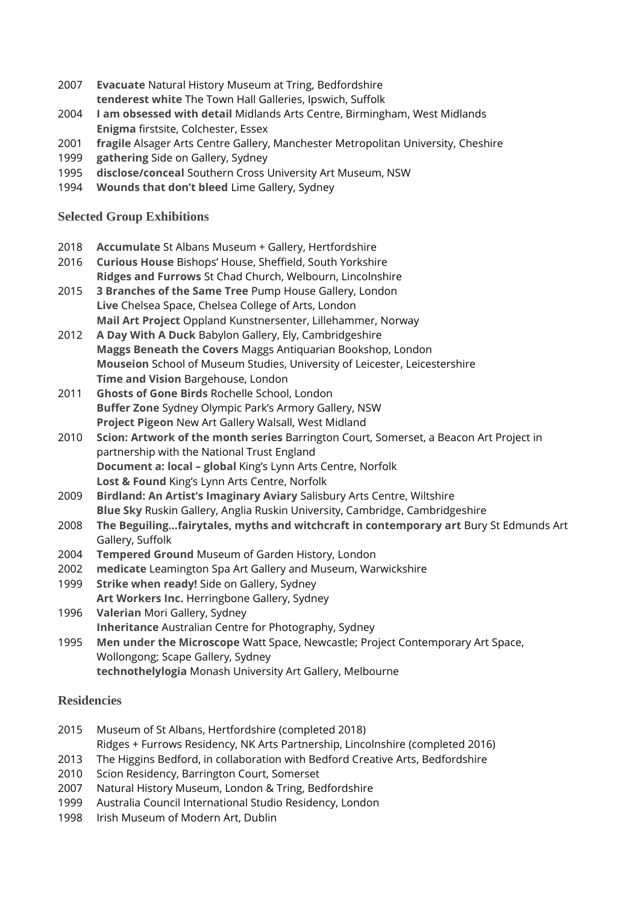- 2007 **Evacuate** Natural History Museum at Tring, Bedfordshire **tenderest white** The Town Hall Galleries, Ipswich, Suffolk
- 2004 **I am obsessed with detail** Midlands Arts Centre, Birmingham, West Midlands **Enigma** firstsite, Colchester, Essex
- 2001 **fragile** Alsager Arts Centre Gallery, Manchester Metropolitan University, Cheshire
- 1999 **gathering** Side on Gallery, Sydney
- 1995 **disclose/conceal** Southern Cross University Art Museum, NSW
- 1994 **Wounds that don't bleed** Lime Gallery, Sydney

### **Selected Group Exhibitions**

- 2018 **Accumulate** St Albans Museum + Gallery, Hertfordshire
- 2016 **Curious House** Bishops' House, Sheffield, South Yorkshire **Ridges and Furrows** St Chad Church, Welbourn, Lincolnshire
- 2015 **3 Branches of the Same Tree** Pump House Gallery, London **Live** Chelsea Space, Chelsea College of Arts, London **Mail Art Project** Oppland Kunstnersenter, Lillehammer, Norway
- 2012 **A Day With A Duck** Babylon Gallery, Ely, Cambridgeshire **Maggs Beneath the Covers** Maggs Antiquarian Bookshop, London **Mouseion** School of Museum Studies, University of Leicester, Leicestershire **Time and Vision** Bargehouse, London
- 2011 **Ghosts of Gone Birds** Rochelle School, London **Buffer Zone** Sydney Olympic Park's Armory Gallery, NSW **Project Pigeon** New Art Gallery Walsall, West Midland
- 2010 **Scion: Artwork of the month series** Barrington Court, Somerset, a Beacon Art Project in partnership with the National Trust England **Document a: local – global** King's Lynn Arts Centre, Norfolk **Lost & Found** King's Lynn Arts Centre, Norfolk
- 2009 **Birdland: An Artist's Imaginary Aviary** Salisbury Arts Centre, Wiltshire **Blue Sky** Ruskin Gallery, Anglia Ruskin University, Cambridge, Cambridgeshire
- 2008 **The Beguiling…fairytales, myths and witchcraft in contemporary art** Bury St Edmunds Art Gallery, Suffolk
- 2004 **Tempered Ground** Museum of Garden History, London
- 2002 **medicate** Leamington Spa Art Gallery and Museum, Warwickshire
- 1999 **Strike when ready!** Side on Gallery, Sydney **Art Workers Inc.** Herringbone Gallery, Sydney
- 1996 **Valerian** Mori Gallery, Sydney **Inheritance** Australian Centre for Photography, Sydney
- 1995 **Men under the Microscope** Watt Space, Newcastle; Project Contemporary Art Space, Wollongong; Scape Gallery, Sydney **technothelylogia** Monash University Art Gallery, Melbourne

## **Residencies**

- 2015 Museum of St Albans, Hertfordshire (completed 2018)
- Ridges + Furrows Residency, NK Arts Partnership, Lincolnshire (completed 2016)
- 2013 The Higgins Bedford, in collaboration with Bedford Creative Arts, Bedfordshire
- 2010 Scion Residency, Barrington Court, Somerset
- 2007 Natural History Museum, London & Tring, Bedfordshire
- 1999 Australia Council International Studio Residency, London
- 1998 Irish Museum of Modern Art, Dublin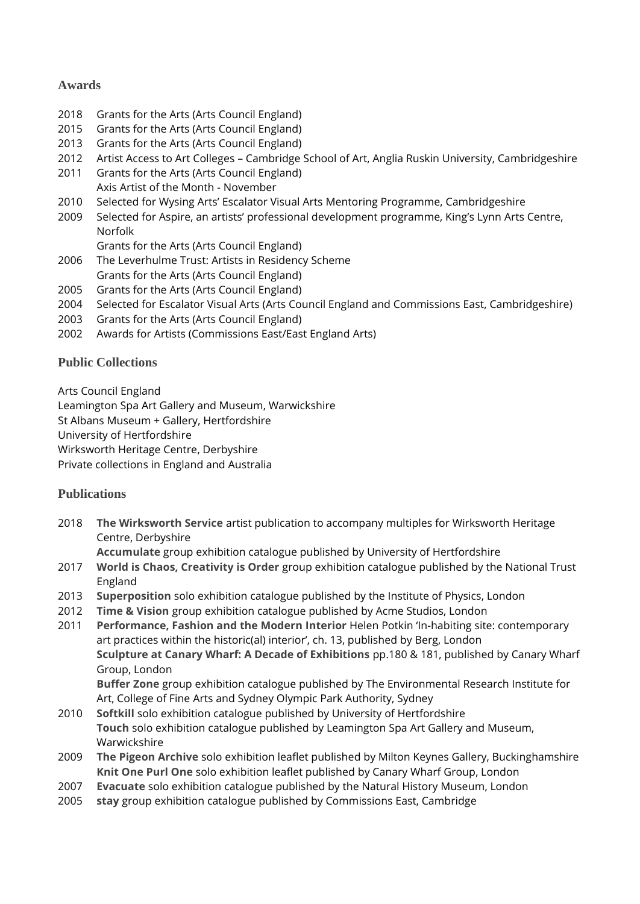## **Awards**

- 2018 Grants for the Arts (Arts Council England)
- 2015 Grants for the Arts (Arts Council England)
- 2013 Grants for the Arts (Arts Council England)
- 2012 Artist Access to Art Colleges Cambridge School of Art, Anglia Ruskin University, Cambridgeshire
- 2011 Grants for the Arts (Arts Council England) Axis Artist of the Month - November
- 2010 Selected for Wysing Arts' Escalator Visual Arts Mentoring Programme, Cambridgeshire
- 2009 Selected for Aspire, an artists' professional development programme, King's Lynn Arts Centre, Norfolk

Grants for the Arts (Arts Council England)

- 2006 The Leverhulme Trust: Artists in Residency Scheme Grants for the Arts (Arts Council England)
- 2005 Grants for the Arts (Arts Council England)
- 2004 Selected for Escalator Visual Arts (Arts Council England and Commissions East, Cambridgeshire)
- 2003 Grants for the Arts (Arts Council England)
- 2002 Awards for Artists (Commissions East/East England Arts)

# **Public Collections**

Arts Council England Leamington Spa Art Gallery and Museum, Warwickshire St Albans Museum + Gallery, Hertfordshire University of Hertfordshire Wirksworth Heritage Centre, Derbyshire Private collections in England and Australia

# **Publications**

2018 **The Wirksworth Service** artist publication to accompany multiples for Wirksworth Heritage Centre, Derbyshire

**Accumulate** group exhibition catalogue published by University of Hertfordshire

- 2017 **World is Chaos, Creativity is Order** group exhibition catalogue published by the National Trust England
- 2013 **Superposition** solo exhibition catalogue published by the Institute of Physics, London
- 2012 **Time & Vision** group exhibition catalogue published by Acme Studios, London
- 2011 **Performance, Fashion and the Modern Interior** Helen Potkin 'In-habiting site: contemporary art practices within the historic(al) interior', ch. 13, published by Berg, London **Sculpture at Canary Wharf: A Decade of Exhibitions** pp.180 & 181, published by Canary Wharf Group, London

**Buffer Zone** group exhibition catalogue published by The Environmental Research Institute for Art, College of Fine Arts and Sydney Olympic Park Authority, Sydney

- 2010 **Softkill** solo exhibition catalogue published by University of Hertfordshire **Touch** solo exhibition catalogue published by Leamington Spa Art Gallery and Museum, Warwickshire
- 2009 **The Pigeon Archive** solo exhibition leaflet published by Milton Keynes Gallery, Buckinghamshire **Knit One Purl One** solo exhibition leaflet published by Canary Wharf Group, London
- 2007 **Evacuate** solo exhibition catalogue published by the Natural History Museum, London
- 2005 **stay** group exhibition catalogue published by Commissions East, Cambridge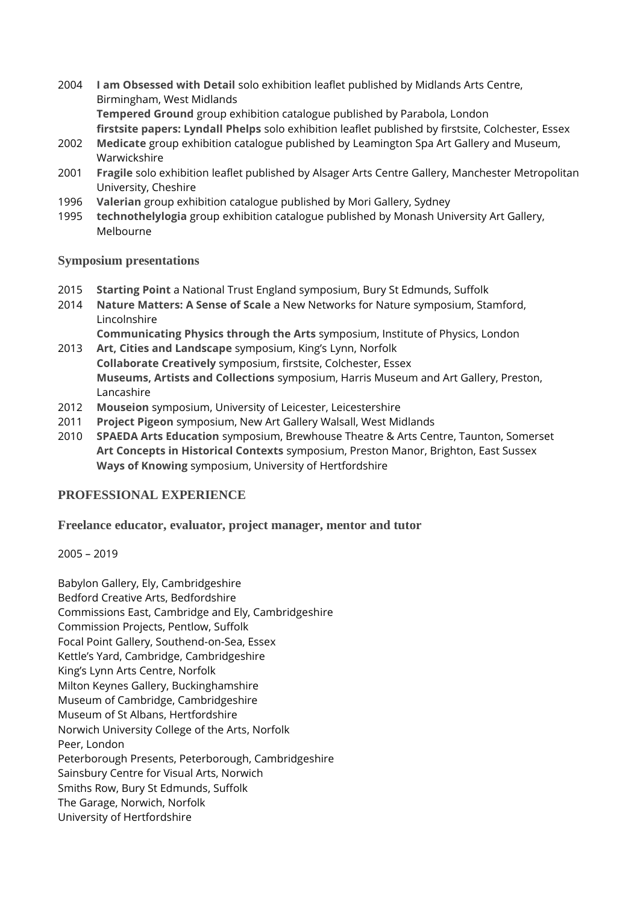- 2004 **I am Obsessed with Detail** solo exhibition leaflet published by Midlands Arts Centre, Birmingham, West Midlands **Tempered Ground** group exhibition catalogue published by Parabola, London **firstsite papers: Lyndall Phelps** solo exhibition leaflet published by firstsite, Colchester, Essex
- 2002 **Medicate** group exhibition catalogue published by Leamington Spa Art Gallery and Museum, Warwickshire
- 2001 **Fragile** solo exhibition leaflet published by Alsager Arts Centre Gallery, Manchester Metropolitan University, Cheshire
- 1996 **Valerian** group exhibition catalogue published by Mori Gallery, Sydney
- 1995 **technothelylogia** group exhibition catalogue published by Monash University Art Gallery, Melbourne

#### **Symposium presentations**

- 2015 **Starting Point** a National Trust England symposium, Bury St Edmunds, Suffolk
- 2014 **Nature Matters: A Sense of Scale** a New Networks for Nature symposium, Stamford, Lincolnshire

**Communicating Physics through the Arts** symposium, Institute of Physics, London

- 2013 **Art, Cities and Landscape** symposium, King's Lynn, Norfolk **Collaborate Creatively** symposium, firstsite, Colchester, Essex **Museums, Artists and Collections** symposium, Harris Museum and Art Gallery, Preston, Lancashire
- 2012 **Mouseion** symposium, University of Leicester, Leicestershire
- 2011 **Project Pigeon** symposium, New Art Gallery Walsall, West Midlands
- 2010 **SPAEDA Arts Education** symposium, Brewhouse Theatre & Arts Centre, Taunton, Somerset **Art Concepts in Historical Contexts** symposium, Preston Manor, Brighton, East Sussex **Ways of Knowing** symposium, University of Hertfordshire

### **PROFESSIONAL EXPERIENCE**

**Freelance educator, evaluator, project manager, mentor and tutor**

2005 – 2019

Babylon Gallery, Ely, Cambridgeshire Bedford Creative Arts, Bedfordshire Commissions East, Cambridge and Ely, Cambridgeshire Commission Projects, Pentlow, Suffolk Focal Point Gallery, Southend-on-Sea, Essex Kettle's Yard, Cambridge, Cambridgeshire King's Lynn Arts Centre, Norfolk Milton Keynes Gallery, Buckinghamshire Museum of Cambridge, Cambridgeshire Museum of St Albans, Hertfordshire Norwich University College of the Arts, Norfolk Peer, London Peterborough Presents, Peterborough, Cambridgeshire Sainsbury Centre for Visual Arts, Norwich Smiths Row, Bury St Edmunds, Suffolk The Garage, Norwich, Norfolk University of Hertfordshire